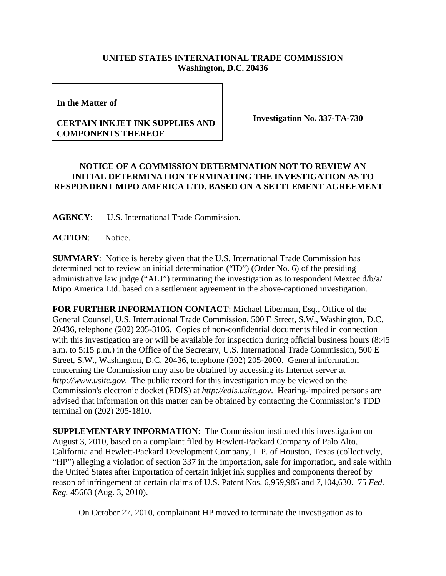## **UNITED STATES INTERNATIONAL TRADE COMMISSION Washington, D.C. 20436**

**In the Matter of** 

## **CERTAIN INKJET INK SUPPLIES AND COMPONENTS THEREOF**

**Investigation No. 337-TA-730**

## **NOTICE OF A COMMISSION DETERMINATION NOT TO REVIEW AN INITIAL DETERMINATION TERMINATING THE INVESTIGATION AS TO RESPONDENT MIPO AMERICA LTD. BASED ON A SETTLEMENT AGREEMENT**

**AGENCY**: U.S. International Trade Commission.

**ACTION**: Notice.

**SUMMARY**: Notice is hereby given that the U.S. International Trade Commission has determined not to review an initial determination ("ID") (Order No. 6) of the presiding administrative law judge ("ALJ") terminating the investigation as to respondent Mextec d/b/a/ Mipo America Ltd. based on a settlement agreement in the above-captioned investigation.

**FOR FURTHER INFORMATION CONTACT**: Michael Liberman, Esq., Office of the General Counsel, U.S. International Trade Commission, 500 E Street, S.W., Washington, D.C. 20436, telephone (202) 205-3106. Copies of non-confidential documents filed in connection with this investigation are or will be available for inspection during official business hours (8:45 a.m. to 5:15 p.m.) in the Office of the Secretary, U.S. International Trade Commission, 500 E Street, S.W., Washington, D.C. 20436, telephone (202) 205-2000. General information concerning the Commission may also be obtained by accessing its Internet server at *http://www.usitc.gov*. The public record for this investigation may be viewed on the Commission's electronic docket (EDIS) at *http://edis.usitc.gov*. Hearing-impaired persons are advised that information on this matter can be obtained by contacting the Commission's TDD terminal on (202) 205-1810.

**SUPPLEMENTARY INFORMATION:** The Commission instituted this investigation on August 3, 2010, based on a complaint filed by Hewlett-Packard Company of Palo Alto, California and Hewlett-Packard Development Company, L.P. of Houston, Texas (collectively, "HP") alleging a violation of section 337 in the importation, sale for importation, and sale within the United States after importation of certain inkjet ink supplies and components thereof by reason of infringement of certain claims of U.S. Patent Nos. 6,959,985 and 7,104,630. 75 *Fed. Reg.* 45663 (Aug. 3, 2010).

On October 27, 2010, complainant HP moved to terminate the investigation as to